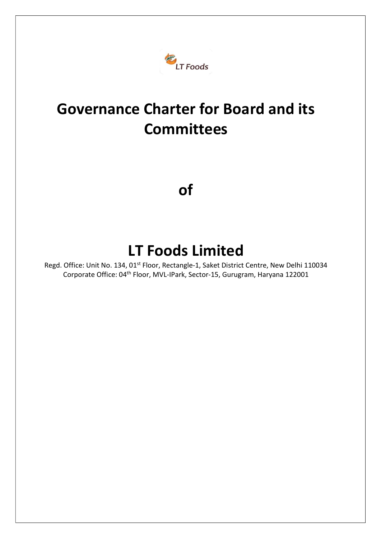

# Governance Charter for Board and its **Committees**

of

## LT Foods Limited

Regd. Office: Unit No. 134, 01<sup>st</sup> Floor, Rectangle-1, Saket District Centre, New Delhi 110034 Corporate Office: 04th Floor, MVL-IPark, Sector-15, Gurugram, Haryana 122001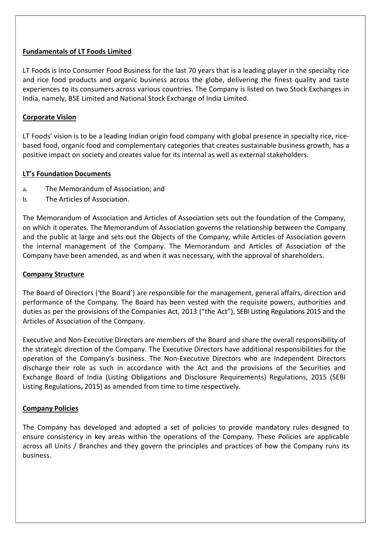#### Fundamentals of LT Foods Limited

LT Foods is into Consumer Food Business for the last 70 years that is a leading player in the specialty rice and rice food products and organic business across the globe, delivering the finest quality and taste experiences to its consumers across various countries. The Company is listed on two Stock Exchanges in India, namely, BSE Limited and National Stock Exchange of India Limited.

#### Corporate Vision

LT Foods' vision is to be a leading Indian origin food company with global presence in specialty rice, ricebased food, organic food and complementary categories that creates sustainable business growth, has a positive impact on society and creates value for its internal as well as external stakeholders.

#### LT's Foundation Documents

- a. The Memorandum of Association; and
- b. The Articles of Association.

The Memorandum of Association and Articles of Association sets out the foundation of the Company, on which it operates. The Memorandum of Association governs the relationship between the Company and the public at large and sets out the Objects of the Company, while Articles of Association govern the internal management of the Company. The Memorandum and Articles of Association of the Company have been amended, as and when it was necessary, with the approval of shareholders.

#### Company Structure

The Board of Directors ('the Board') are responsible for the management, general affairs, direction and performance of the Company. The Board has been vested with the requisite powers, authorities and duties as per the provisions of the Companies Act, 2013 ("the Act"), SEBI Listing Regulations 2015 and the Articles of Association of the Company.

Executive and Non-Executive Directors are members of the Board and share the overall responsibility of the strategic direction of the Company. The Executive Directors have additional responsibilities for the operation of the Company's business. The Non-Executive Directors who are Independent Directors discharge their role as such in accordance with the Act and the provisions of the Securities and Exchange Board of India (Listing Obligations and Disclosure Requirements) Regulations, 2015 (SEBI Listing Regulations, 2015) as amended from time to time respectively.

#### Company Policies

The Company has developed and adopted a set of policies to provide mandatory rules designed to ensure consistency in key areas within the operations of the Company. These Policies are applicable across all Units / Branches and they govern the principles and practices of how the Company runs its business.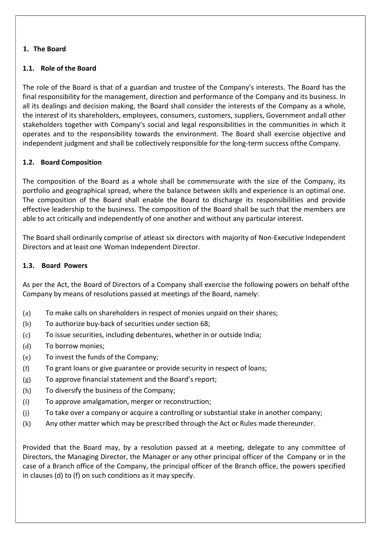## 1. The Board

## 1.1. Role of the Board

The role of the Board is that of a guardian and trustee of the Company's interests. The Board has the final responsibility for the management, direction and performance of the Company and its business. In all its dealings and decision making, the Board shall consider the interests of the Company as a whole, the interest of its shareholders, employees, consumers, customers, suppliers, Government and all other stakeholders together with Company's social and legal responsibilities in the communities in which it operates and to the responsibility towards the environment. The Board shall exercise objective and independent judgment and shall be collectively responsible for the long-term success of the Company.

## 1.2. Board Composition

The composition of the Board as a whole shall be commensurate with the size of the Company, its portfolio and geographical spread, where the balance between skills and experience is an optimal one. The composition of the Board shall enable the Board to discharge its responsibilities and provide effective leadership to the business. The composition of the Board shall be such that the members are able to act critically and independently of one another and without any particular interest.

The Board shall ordinarily comprise of atleast six directors with majority of Non-Executive Independent Directors and at least one Woman Independent Director.

## 1.3. Board Powers

As per the Act, the Board of Directors of a Company shall exercise the following powers on behalf of the Company by means of resolutions passed at meetings of the Board, namely:

- (a) To make calls on shareholders in respect of monies unpaid on their shares;
- (b) To authorize buy-back of securities under section 68;
- (c) To issue securities, including debentures, whether in or outside India;
- (d) To borrow monies;
- (e) To invest the funds of the Company;
- (f) To grant loans or give guarantee or provide security in respect of loans;
- (g) To approve financial statement and the Board's report;
- (h) To diversify the business of the Company;
- (i) To approve amalgamation, merger or reconstruction;
- (j) To take over a company or acquire a controlling or substantial stake in another company;
- (k) Any other matter which may be prescribed through the Act or Rules made thereunder.

Provided that the Board may, by a resolution passed at a meeting, delegate to any committee of Directors, the Managing Director, the Manager or any other principal officer of the Company or in the case of a Branch office of the Company, the principal officer of the Branch office, the powers specified in clauses (d) to (f) on such conditions as it may specify.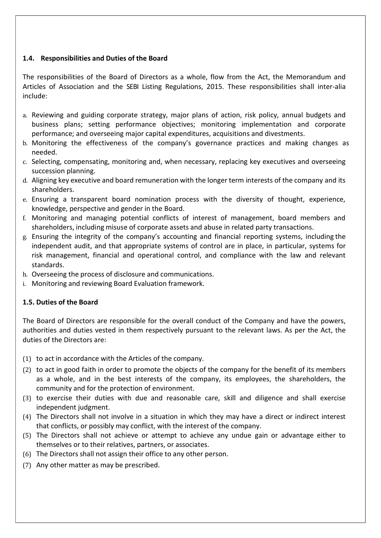## 1.4. Responsibilities and Duties of the Board

The responsibilities of the Board of Directors as a whole, flow from the Act, the Memorandum and Articles of Association and the SEBI Listing Regulations, 2015. These responsibilities shall inter-alia include:

- a. Reviewing and guiding corporate strategy, major plans of action, risk policy, annual budgets and business plans; setting performance objectives; monitoring implementation and corporate performance; and overseeing major capital expenditures, acquisitions and divestments.
- b. Monitoring the effectiveness of the company's governance practices and making changes as needed.
- c. Selecting, compensating, monitoring and, when necessary, replacing key executives and overseeing succession planning.
- d. Aligning key executive and board remuneration with the longer term interests of the company and its shareholders.
- e. Ensuring a transparent board nomination process with the diversity of thought, experience, knowledge, perspective and gender in the Board.
- f. Monitoring and managing potential conflicts of interest of management, board members and shareholders, including misuse of corporate assets and abuse in related party transactions.
- g. Ensuring the integrity of the company's accounting and financial reporting systems, including the independent audit, and that appropriate systems of control are in place, in particular, systems for risk management, financial and operational control, and compliance with the law and relevant standards.
- h. Overseeing the process of disclosure and communications.
- i. Monitoring and reviewing Board Evaluation framework.

## 1.5. Duties of the Board

The Board of Directors are responsible for the overall conduct of the Company and have the powers, authorities and duties vested in them respectively pursuant to the relevant laws. As per the Act, the duties of the Directors are:

- (1) to act in accordance with the Articles of the company.
- (2) to act in good faith in order to promote the objects of the company for the benefit of its members as a whole, and in the best interests of the company, its employees, the shareholders, the community and for the protection of environment.
- (3) to exercise their duties with due and reasonable care, skill and diligence and shall exercise independent judgment.
- (4) The Directors shall not involve in a situation in which they may have a direct or indirect interest that conflicts, or possibly may conflict, with the interest of the company.
- (5) The Directors shall not achieve or attempt to achieve any undue gain or advantage either to themselves or to their relatives, partners, or associates.
- (6) The Directors shall not assign their office to any other person.
- (7) Any other matter as may be prescribed.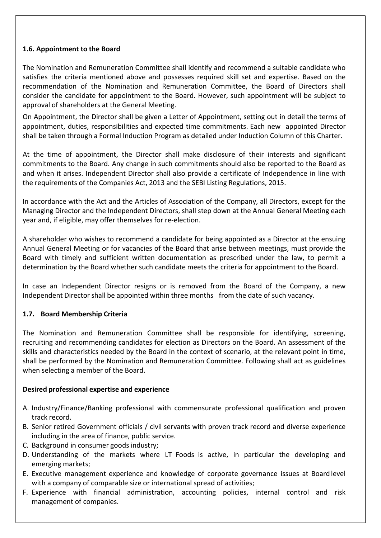#### 1.6. Appointment to the Board

The Nomination and Remuneration Committee shall identify and recommend a suitable candidate who satisfies the criteria mentioned above and possesses required skill set and expertise. Based on the recommendation of the Nomination and Remuneration Committee, the Board of Directors shall consider the candidate for appointment to the Board. However, such appointment will be subject to approval of shareholders at the General Meeting.

On Appointment, the Director shall be given a Letter of Appointment, setting out in detail the terms of appointment, duties, responsibilities and expected time commitments. Each new appointed Director shall be taken through a Formal Induction Program as detailed under Induction Column of this Charter.

At the time of appointment, the Director shall make disclosure of their interests and significant commitments to the Board. Any change in such commitments should also be reported to the Board as and when it arises. Independent Director shall also provide a certificate of Independence in line with the requirements of the Companies Act, 2013 and the SEBI Listing Regulations, 2015.

In accordance with the Act and the Articles of Association of the Company, all Directors, except for the Managing Director and the Independent Directors, shall step down at the Annual General Meeting each year and, if eligible, may offer themselves for re-election.

A shareholder who wishes to recommend a candidate for being appointed as a Director at the ensuing Annual General Meeting or for vacancies of the Board that arise between meetings, must provide the Board with timely and sufficient written documentation as prescribed under the law, to permit a determination by the Board whether such candidate meets the criteria for appointment to the Board.

In case an Independent Director resigns or is removed from the Board of the Company, a new Independent Director shall be appointed within three months from the date of such vacancy.

## 1.7. Board Membership Criteria

The Nomination and Remuneration Committee shall be responsible for identifying, screening, recruiting and recommending candidates for election as Directors on the Board. An assessment of the skills and characteristics needed by the Board in the context of scenario, at the relevant point in time, shall be performed by the Nomination and Remuneration Committee. Following shall act as guidelines when selecting a member of the Board.

## Desired professional expertise and experience

- A. Industry/Finance/Banking professional with commensurate professional qualification and proven track record.
- B. Senior retired Government officials / civil servants with proven track record and diverse experience including in the area of finance, public service.
- C. Background in consumer goods industry;
- D. Understanding of the markets where LT Foods is active, in particular the developing and emerging markets;
- E. Executive management experience and knowledge of corporate governance issues at Board level with a company of comparable size or international spread of activities;
- F. Experience with financial administration, accounting policies, internal control and risk management of companies.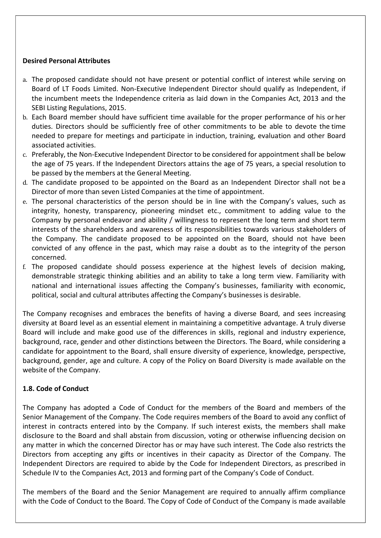#### Desired Personal Attributes

- a. The proposed candidate should not have present or potential conflict of interest while serving on Board of LT Foods Limited. Non-Executive Independent Director should qualify as Independent, if the incumbent meets the Independence criteria as laid down in the Companies Act, 2013 and the SEBI Listing Regulations, 2015.
- b. Each Board member should have sufficient time available for the proper performance of his or her duties. Directors should be sufficiently free of other commitments to be able to devote the time needed to prepare for meetings and participate in induction, training, evaluation and other Board associated activities.
- c. Preferably, the Non-Executive Independent Director to be considered for appointment shall be below the age of 75 years. If the Independent Directors attains the age of 75 years, a special resolution to be passed by the members at the General Meeting.
- d. The candidate proposed to be appointed on the Board as an Independent Director shall not be a Director of more than seven Listed Companies at the time of appointment.
- e. The personal characteristics of the person should be in line with the Company's values, such as integrity, honesty, transparency, pioneering mindset etc., commitment to adding value to the Company by personal endeavor and ability / willingness to represent the long term and short term interests of the shareholders and awareness of its responsibilities towards various stakeholders of the Company. The candidate proposed to be appointed on the Board, should not have been convicted of any offence in the past, which may raise a doubt as to the integrity of the person concerned.
- f. The proposed candidate should possess experience at the highest levels of decision making, demonstrable strategic thinking abilities and an ability to take a long term view. Familiarity with national and international issues affecting the Company's businesses, familiarity with economic, political, social and cultural attributes affecting the Company's businesses is desirable.

The Company recognises and embraces the benefits of having a diverse Board, and sees increasing diversity at Board level as an essential element in maintaining a competitive advantage. A truly diverse Board will include and make good use of the differences in skills, regional and industry experience, background, race, gender and other distinctions between the Directors. The Board, while considering a candidate for appointment to the Board, shall ensure diversity of experience, knowledge, perspective, background, gender, age and culture. A copy of the Policy on Board Diversity is made available on the website of the Company.

#### 1.8. Code of Conduct

The Company has adopted a Code of Conduct for the members of the Board and members of the Senior Management of the Company. The Code requires members of the Board to avoid any conflict of interest in contracts entered into by the Company. If such interest exists, the members shall make disclosure to the Board and shall abstain from discussion, voting or otherwise influencing decision on any matter in which the concerned Director has or may have such interest. The Code also restricts the Directors from accepting any gifts or incentives in their capacity as Director of the Company. The Independent Directors are required to abide by the Code for Independent Directors, as prescribed in Schedule IV to the Companies Act, 2013 and forming part of the Company's Code of Conduct.

The members of the Board and the Senior Management are required to annually affirm compliance with the Code of Conduct to the Board. The Copy of Code of Conduct of the Company is made available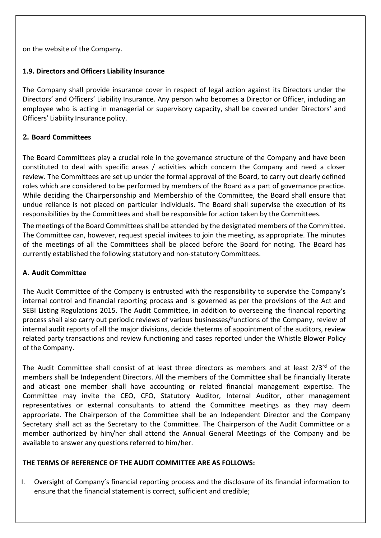on the website of the Company.

#### 1.9. Directors and Officers Liability Insurance

The Company shall provide insurance cover in respect of legal action against its Directors under the Directors' and Officers' Liability Insurance. Any person who becomes a Director or Officer, including an employee who is acting in managerial or supervisory capacity, shall be covered under Directors' and Officers' Liability Insurance policy.

#### 2. Board Committees

The Board Committees play a crucial role in the governance structure of the Company and have been constituted to deal with specific areas / activities which concern the Company and need a closer review. The Committees are set up under the formal approval of the Board, to carry out clearly defined roles which are considered to be performed by members of the Board as a part of governance practice. While deciding the Chairpersonship and Membership of the Committee, the Board shall ensure that undue reliance is not placed on particular individuals. The Board shall supervise the execution of its responsibilities by the Committees and shall be responsible for action taken by the Committees.

The meetings of the Board Committees shall be attended by the designated members of the Committee. The Committee can, however, request special invitees to join the meeting, as appropriate. The minutes of the meetings of all the Committees shall be placed before the Board for noting. The Board has currently established the following statutory and non-statutory Committees.

#### A. Audit Committee

The Audit Committee of the Company is entrusted with the responsibility to supervise the Company's internal control and financial reporting process and is governed as per the provisions of the Act and SEBI Listing Regulations 2015. The Audit Committee, in addition to overseeing the financial reporting process shall also carry out periodic reviews of various businesses/functions of the Company, review of internal audit reports of all the major divisions, decide the terms of appointment of the auditors, review related party transactions and review functioning and cases reported under the Whistle Blower Policy of the Company.

The Audit Committee shall consist of at least three directors as members and at least  $2/3^{rd}$  of the members shall be Independent Directors. All the members of the Committee shall be financially literate and atleast one member shall have accounting or related financial management expertise. The Committee may invite the CEO, CFO, Statutory Auditor, Internal Auditor, other management representatives or external consultants to attend the Committee meetings as they may deem appropriate. The Chairperson of the Committee shall be an Independent Director and the Company Secretary shall act as the Secretary to the Committee. The Chairperson of the Audit Committee or a member authorized by him/her shall attend the Annual General Meetings of the Company and be available to answer any questions referred to him/her.

## THE TERMS OF REFERENCE OF THE AUDIT COMMITTEE ARE AS FOLLOWS:

I. Oversight of Company's financial reporting process and the disclosure of its financial information to ensure that the financial statement is correct, sufficient and credible;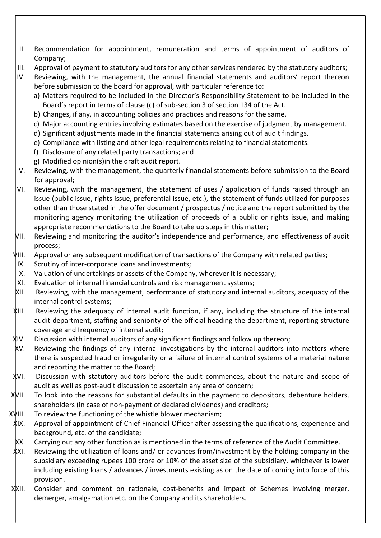- II. Recommendation for appointment, remuneration and terms of appointment of auditors of Company;
- III. Approval of payment to statutory auditors for any other services rendered by the statutory auditors;
- IV. Reviewing, with the management, the annual financial statements and auditors' report thereon before submission to the board for approval, with particular reference to:
	- a) Matters required to be included in the Director's Responsibility Statement to be included in the Board's report in terms of clause (c) of sub-section 3 of section 134 of the Act.
	- b) Changes, if any, in accounting policies and practices and reasons for the same.
	- c) Major accounting entries involving estimates based on the exercise of judgment by management.
	- d) Significant adjustments made in the financial statements arising out of audit findings.
	- e) Compliance with listing and other legal requirements relating to financial statements.
	- f) Disclosure of any related party transactions; and
	- g) Modified opinion(s)in the draft audit report.
- V. Reviewing, with the management, the quarterly financial statements before submission to the Board for approval;
- VI. Reviewing, with the management, the statement of uses / application of funds raised through an issue (public issue, rights issue, preferential issue, etc.), the statement of funds utilized for purposes other than those stated in the offer document / prospectus / notice and the report submitted by the monitoring agency monitoring the utilization of proceeds of a public or rights issue, and making appropriate recommendations to the Board to take up steps in this matter;
- VII. Reviewing and monitoring the auditor's independence and performance, and effectiveness of audit process;
- VIII. Approval or any subsequent modification of transactions of the Company with related parties;
- IX. Scrutiny of inter-corporate loans and investments;
- X. Valuation of undertakings or assets of the Company, wherever it is necessary;
- XI. Evaluation of internal financial controls and risk management systems;
- XII. Reviewing, with the management, performance of statutory and internal auditors, adequacy of the internal control systems;
- XIII. Reviewing the adequacy of internal audit function, if any, including the structure of the internal audit department, staffing and seniority of the official heading the department, reporting structure coverage and frequency of internal audit;
- XIV. Discussion with internal auditors of any significant findings and follow up thereon;
- XV. Reviewing the findings of any internal investigations by the internal auditors into matters where there is suspected fraud or irregularity or a failure of internal control systems of a material nature and reporting the matter to the Board;
- XVI. Discussion with statutory auditors before the audit commences, about the nature and scope of audit as well as post-audit discussion to ascertain any area of concern;
- XVII. To look into the reasons for substantial defaults in the payment to depositors, debenture holders, shareholders (in case of non-payment of declared dividends) and creditors;
- $X\$ III. To review the functioning of the whistle blower mechanism;
- XIX. Approval of appointment of Chief Financial Officer after assessing the qualifications, experience and background, etc. of the candidate;
- XX. Carrying out any other function as is mentioned in the terms of reference of the Audit Committee.
- XXI. Reviewing the utilization of loans and/ or advances from/investment by the holding company in the subsidiary exceeding rupees 100 crore or 10% of the asset size of the subsidiary, whichever is lower including existing loans / advances / investments existing as on the date of coming into force of this provision.
- XXII. Consider and comment on rationale, cost-benefits and impact of Schemes involving merger, demerger, amalgamation etc. on the Company and its shareholders.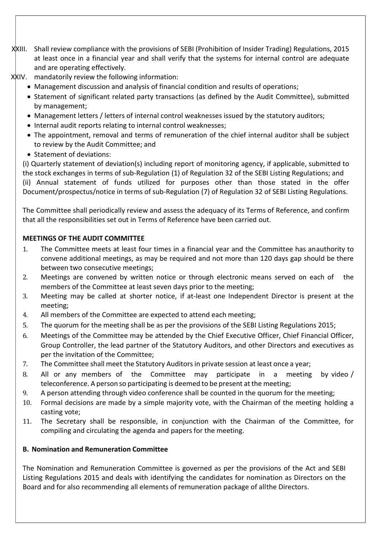- XXIII. Shall review compliance with the provisions of SEBI (Prohibition of Insider Trading) Regulations, 2015 at least once in a financial year and shall verify that the systems for internal control are adequate and are operating effectively.
- XXIV. mandatorily review the following information:
	- Management discussion and analysis of financial condition and results of operations;
	- Statement of significant related party transactions (as defined by the Audit Committee), submitted by management;
	- Management letters / letters of internal control weaknesses issued by the statutory auditors;
	- Internal audit reports relating to internal control weaknesses;
	- The appointment, removal and terms of remuneration of the chief internal auditor shall be subject to review by the Audit Committee; and
	- Statement of deviations:

(i) Quarterly statement of deviation(s) including report of monitoring agency, if applicable, submitted to the stock exchanges in terms of sub-Regulation (1) of Regulation 32 of the SEBI Listing Regulations; and (ii) Annual statement of funds utilized for purposes other than those stated in the offer Document/prospectus/notice in terms of sub-Regulation (7) of Regulation 32 of SEBI Listing Regulations.

The Committee shall periodically review and assess the adequacy of its Terms of Reference, and confirm that all the responsibilities set out in Terms of Reference have been carried out.

## MEETINGS OF THE AUDIT COMMITTEE

- 1. The Committee meets at least four times in a financial year and the Committee has an authority to convene additional meetings, as may be required and not more than 120 days gap should be there between two consecutive meetings;
- 2. Meetings are convened by written notice or through electronic means served on each of the members of the Committee at least seven days prior to the meeting;
- 3. Meeting may be called at shorter notice, if at-least one Independent Director is present at the meeting;
- 4. All members of the Committee are expected to attend each meeting;
- 5. The quorum for the meeting shall be as per the provisions of the SEBI Listing Regulations 2015;
- 6. Meetings of the Committee may be attended by the Chief Executive Officer, Chief Financial Officer, Group Controller, the lead partner of the Statutory Auditors, and other Directors and executives as per the invitation of the Committee;
- 7. The Committee shall meet the Statutory Auditors in private session at least once a year;
- 8. All or any members of the Committee may participate in a meeting by video / teleconference. A person so participating is deemed to be present at the meeting;
- 9. A person attending through video conference shall be counted in the quorum for the meeting;
- 10. Formal decisions are made by a simple majority vote, with the Chairman of the meeting holding a casting vote;
- 11. The Secretary shall be responsible, in conjunction with the Chairman of the Committee, for compiling and circulating the agenda and papers for the meeting.

## B. Nomination and Remuneration Committee

The Nomination and Remuneration Committee is governed as per the provisions of the Act and SEBI Listing Regulations 2015 and deals with identifying the candidates for nomination as Directors on the Board and for also recommending all elements of remuneration package of all the Directors.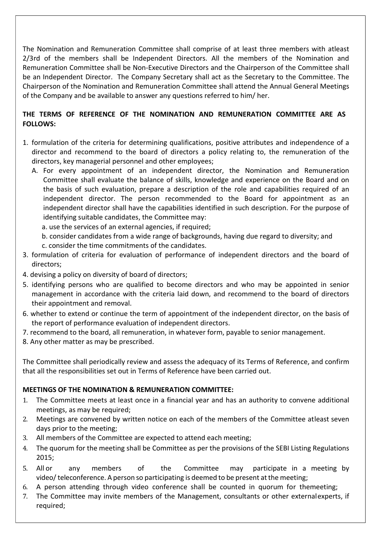The Nomination and Remuneration Committee shall comprise of at least three members with atleast 2/3rd of the members shall be Independent Directors. All the members of the Nomination and Remuneration Committee shall be Non-Executive Directors and the Chairperson of the Committee shall be an Independent Director. The Company Secretary shall act as the Secretary to the Committee. The Chairperson of the Nomination and Remuneration Committee shall attend the Annual General Meetings of the Company and be available to answer any questions referred to him/ her.

## THE TERMS OF REFERENCE OF THE NOMINATION AND REMUNERATION COMMITTEE ARE AS FOLLOWS:

- 1. formulation of the criteria for determining qualifications, positive attributes and independence of a director and recommend to the board of directors a policy relating to, the remuneration of the directors, key managerial personnel and other employees;
	- A. For every appointment of an independent director, the Nomination and Remuneration Committee shall evaluate the balance of skills, knowledge and experience on the Board and on the basis of such evaluation, prepare a description of the role and capabilities required of an independent director. The person recommended to the Board for appointment as an independent director shall have the capabilities identified in such description. For the purpose of identifying suitable candidates, the Committee may:
		- a. use the services of an external agencies, if required;
		- b. consider candidates from a wide range of backgrounds, having due regard to diversity; and
		- c. consider the time commitments of the candidates.
- 3. formulation of criteria for evaluation of performance of independent directors and the board of directors;
- 4. devising a policy on diversity of board of directors;
- 5. identifying persons who are qualified to become directors and who may be appointed in senior management in accordance with the criteria laid down, and recommend to the board of directors their appointment and removal.
- 6. whether to extend or continue the term of appointment of the independent director, on the basis of the report of performance evaluation of independent directors.
- 7. recommend to the board, all remuneration, in whatever form, payable to senior management.
- 8. Any other matter as may be prescribed.

The Committee shall periodically review and assess the adequacy of its Terms of Reference, and confirm that all the responsibilities set out in Terms of Reference have been carried out.

## MEETINGS OF THE NOMINATION & REMUNERATION COMMITTEE:

- 1. The Committee meets at least once in a financial year and has an authority to convene additional meetings, as may be required:
- 2. Meetings are convened by written notice on each of the members of the Committee at least seven days prior to the meeting;
- 3. All members of the Committee are expected to attend each meeting;
- 4. The quorum for the meeting shall be Committee as per the provisions of the SEBI Listing Regulations 2015;
- 5. All or any members of the Committee may participate in a meeting by video/ teleconference. A person so participating is deemed to be present at the meeting;
- 6. A person attending through video conference shall be counted in quorum for the meeting;
- 7. The Committee may invite members of the Management, consultants or other external experts, if required;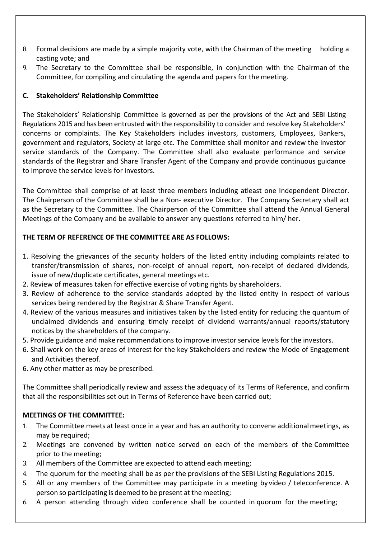- 8. Formal decisions are made by a simple majority vote, with the Chairman of the meeting holding a casting vote; and
- 9. The Secretary to the Committee shall be responsible, in conjunction with the Chairman of the Committee, for compiling and circulating the agenda and papers for the meeting.

## C. Stakeholders' Relationship Committee

The Stakeholders' Relationship Committee is governed as per the provisions of the Act and SEBI Listing Regulations 2015 and has been entrusted with the responsibility to consider and resolve key Stakeholders' concerns or complaints. The Key Stakeholders includes investors, customers, Employees, Bankers, government and regulators, Society at large etc. The Committee shall monitor and review the investor service standards of the Company. The Committee shall also evaluate performance and service standards of the Registrar and Share Transfer Agent of the Company and provide continuous guidance to improve the service levels for investors.

The Committee shall comprise of at least three members including atleast one Independent Director. The Chairperson of the Committee shall be a Non- executive Director. The Company Secretary shall act as the Secretary to the Committee. The Chairperson of the Committee shall attend the Annual General Meetings of the Company and be available to answer any questions referred to him/ her.

## THE TERM OF REFERENCE OF THE COMMITTEE ARE AS FOLLOWS:

- 1. Resolving the grievances of the security holders of the listed entity including complaints related to transfer/transmission of shares, non-receipt of annual report, non-receipt of declared dividends, issue of new/duplicate certificates, general meetings etc.
- 2. Review of measures taken for effective exercise of voting rights by shareholders.
- 3. Review of adherence to the service standards adopted by the listed entity in respect of various services being rendered by the Registrar & Share Transfer Agent.
- 4. Review of the various measures and initiatives taken by the listed entity for reducing the quantum of unclaimed dividends and ensuring timely receipt of dividend warrants/annual reports/statutory notices by the shareholders of the company.
- 5. Provide guidance and make recommendations to improve investor service levels for the investors.
- 6. Shall work on the key areas of interest for the key Stakeholders and review the Mode of Engagement and Activities thereof.
- 6. Any other matter as may be prescribed.

The Committee shall periodically review and assess the adequacy of its Terms of Reference, and confirm that all the responsibilities set out in Terms of Reference have been carried out;

## MEETINGS OF THE COMMITTEE:

- 1. The Committee meets at least once in a year and has an authority to convene additional meetings, as may be required;
- 2. Meetings are convened by written notice served on each of the members of the Committee prior to the meeting;
- 3. All members of the Committee are expected to attend each meeting;
- 4. The quorum for the meeting shall be as per the provisions of the SEBI Listing Regulations 2015.
- 5. All or any members of the Committee may participate in a meeting by video / teleconference. A person so participating is deemed to be present at the meeting;
- 6. A person attending through video conference shall be counted in quorum for the meeting;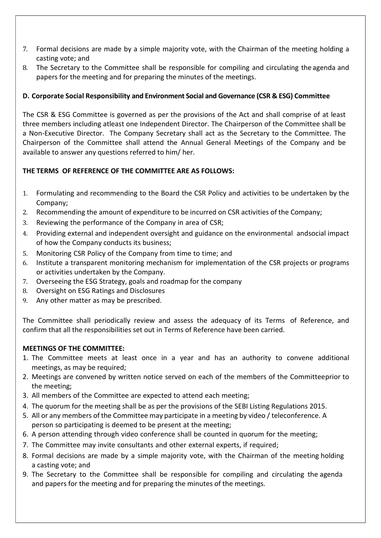- 7. Formal decisions are made by a simple majority vote, with the Chairman of the meeting holding a casting vote; and
- 8. The Secretary to the Committee shall be responsible for compiling and circulating the agenda and papers for the meeting and for preparing the minutes of the meetings.

## D. Corporate Social Responsibility and Environment Social and Governance (CSR & ESG) Committee

The CSR & ESG Committee is governed as per the provisions of the Act and shall comprise of at least three members including atleast one Independent Director. The Chairperson of the Committee shall be a Non-Executive Director. The Company Secretary shall act as the Secretary to the Committee. The Chairperson of the Committee shall attend the Annual General Meetings of the Company and be available to answer any questions referred to him/ her.

## THE TERMS OF REFERENCE OF THE COMMITTEE ARE AS FOLLOWS:

- 1. Formulating and recommending to the Board the CSR Policy and activities to be undertaken by the Company;
- 2. Recommending the amount of expenditure to be incurred on CSR activities of the Company;
- 3. Reviewing the performance of the Company in area of CSR;
- 4. Providing external and independent oversight and guidance on the environmental and social impact of how the Company conducts its business;
- 5. Monitoring CSR Policy of the Company from time to time; and
- 6. Institute a transparent monitoring mechanism for implementation of the CSR projects or programs or activities undertaken by the Company.
- 7. Overseeing the ESG Strategy, goals and roadmap for the company
- 8. Oversight on ESG Ratings and Disclosures
- 9. Any other matter as may be prescribed.

The Committee shall periodically review and assess the adequacy of its Terms of Reference, and confirm that all the responsibilities set out in Terms of Reference have been carried.

## MEETINGS OF THE COMMITTEE:

- 1. The Committee meets at least once in a year and has an authority to convene additional meetings, as may be required;
- 2. Meetings are convened by written notice served on each of the members of the Committeeprior to the meeting;
- 3. All members of the Committee are expected to attend each meeting;
- 4. The quorum for the meeting shall be as per the provisions of the SEBI Listing Regulations 2015.
- 5. All or any members of the Committee may participate in a meeting by video / teleconference. A person so participating is deemed to be present at the meeting;
- 6. A person attending through video conference shall be counted in quorum for the meeting;
- 7. The Committee may invite consultants and other external experts, if required;
- 8. Formal decisions are made by a simple majority vote, with the Chairman of the meeting holding a casting vote; and
- 9. The Secretary to the Committee shall be responsible for compiling and circulating the agenda and papers for the meeting and for preparing the minutes of the meetings.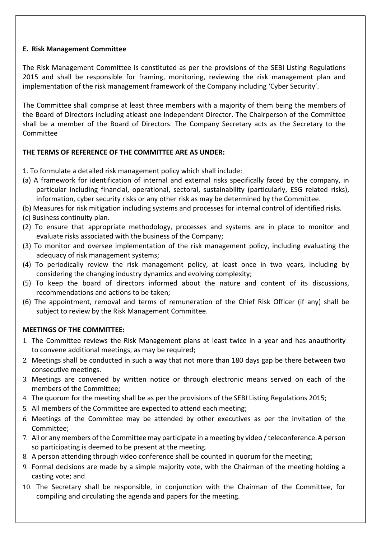#### E. Risk Management Committee

The Risk Management Committee is constituted as per the provisions of the SEBI Listing Regulations 2015 and shall be responsible for framing, monitoring, reviewing the risk management plan and implementation of the risk management framework of the Company including 'Cyber Security'.

The Committee shall comprise at least three members with a majority of them being the members of the Board of Directors including atleast one Independent Director. The Chairperson of the Committee shall be a member of the Board of Directors. The Company Secretary acts as the Secretary to the Committee

## THE TERMS OF REFERENCE OF THE COMMITTEE ARE AS UNDER:

1. To formulate a detailed risk management policy which shall include:

- (a) A framework for identification of internal and external risks specifically faced by the company, in particular including financial, operational, sectoral, sustainability (particularly, ESG related risks), information, cyber security risks or any other risk as may be determined by the Committee.
- (b) Measures for risk mitigation including systems and processes for internal control of identified risks.
- (c) Business continuity plan.
- (2) To ensure that appropriate methodology, processes and systems are in place to monitor and evaluate risks associated with the business of the Company;
- (3) To monitor and oversee implementation of the risk management policy, including evaluating the adequacy of risk management systems;
- (4) To periodically review the risk management policy, at least once in two years, including by considering the changing industry dynamics and evolving complexity;
- (5) To keep the board of directors informed about the nature and content of its discussions, recommendations and actions to be taken;
- (6) The appointment, removal and terms of remuneration of the Chief Risk Officer (if any) shall be subject to review by the Risk Management Committee.

## MEETINGS OF THE COMMITTEE:

- 1. The Committee reviews the Risk Management plans at least twice in a year and has an authority to convene additional meetings, as may be required;
- 2. Meetings shall be conducted in such a way that not more than 180 days gap be there between two consecutive meetings.
- 3. Meetings are convened by written notice or through electronic means served on each of the members of the Committee;
- 4. The quorum for the meeting shall be as per the provisions of the SEBI Listing Regulations 2015;
- 5. All members of the Committee are expected to attend each meeting;
- 6. Meetings of the Committee may be attended by other executives as per the invitation of the Committee;
- 7. All or any members of the Committee may participate in a meeting by video / teleconference. A person so participating is deemed to be present at the meeting.
- 8. A person attending through video conference shall be counted in quorum for the meeting;
- 9. Formal decisions are made by a simple majority vote, with the Chairman of the meeting holding a casting vote; and
- 10. The Secretary shall be responsible, in conjunction with the Chairman of the Committee, for compiling and circulating the agenda and papers for the meeting.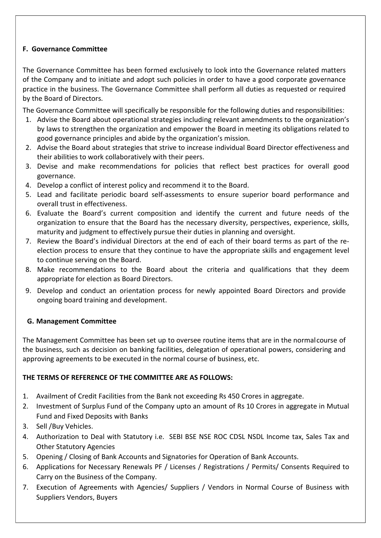## F. Governance Committee

The Governance Committee has been formed exclusively to look into the Governance related matters of the Company and to initiate and adopt such policies in order to have a good corporate governance practice in the business. The Governance Committee shall perform all duties as requested or required by the Board of Directors.

The Governance Committee will specifically be responsible for the following duties and responsibilities:

- 1. Advise the Board about operational strategies including relevant amendments to the organization's by laws to strengthen the organization and empower the Board in meeting its obligations related to good governance principles and abide by the organization's mission.
- 2. Advise the Board about strategies that strive to increase individual Board Director effectiveness and their abilities to work collaboratively with their peers.
- 3. Devise and make recommendations for policies that reflect best practices for overall good governance.
- 4. Develop a conflict of interest policy and recommend it to the Board.
- 5. Lead and facilitate periodic board self-assessments to ensure superior board performance and overall trust in effectiveness.
- 6. Evaluate the Board's current composition and identify the current and future needs of the organization to ensure that the Board has the necessary diversity, perspectives, experience, skills, maturity and judgment to effectively pursue their duties in planning and oversight.
- 7. Review the Board's individual Directors at the end of each of their board terms as part of the reelection process to ensure that they continue to have the appropriate skills and engagement level to continue serving on the Board.
- 8. Make recommendations to the Board about the criteria and qualifications that they deem appropriate for election as Board Directors.
- 9. Develop and conduct an orientation process for newly appointed Board Directors and provide ongoing board training and development.

## G. Management Committee

The Management Committee has been set up to oversee routine items that are in the normal course of the business, such as decision on banking facilities, delegation of operational powers, considering and approving agreements to be executed in the normal course of business, etc.

## THE TERMS OF REFERENCE OF THE COMMITTEE ARE AS FOLLOWS:

- 1. Availment of Credit Facilities from the Bank not exceeding Rs 450 Crores in aggregate.
- 2. Investment of Surplus Fund of the Company upto an amount of Rs 10 Crores in aggregate in Mutual Fund and Fixed Deposits with Banks
- 3. Sell /Buy Vehicles.
- 4. Authorization to Deal with Statutory i.e. SEBI BSE NSE ROC CDSL NSDL Income tax, Sales Tax and Other Statutory Agencies
- 5. Opening / Closing of Bank Accounts and Signatories for Operation of Bank Accounts.
- 6. Applications for Necessary Renewals PF / Licenses / Registrations / Permits/ Consents Required to Carry on the Business of the Company.
- 7. Execution of Agreements with Agencies/ Suppliers / Vendors in Normal Course of Business with Suppliers Vendors, Buyers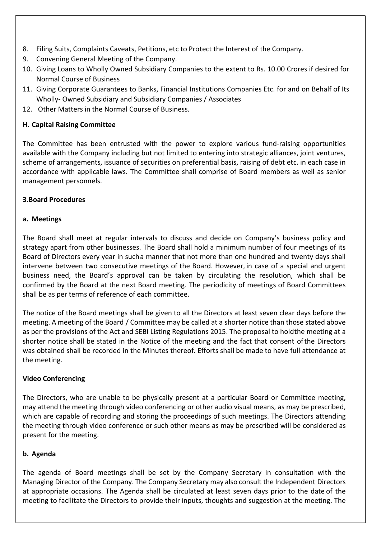- 8. Filing Suits, Complaints Caveats, Petitions, etc to Protect the Interest of the Company.
- 9. Convening General Meeting of the Company.
- 10. Giving Loans to Wholly Owned Subsidiary Companies to the extent to Rs. 10.00 Crores if desired for Normal Course of Business
- 11. Giving Corporate Guarantees to Banks, Financial Institutions Companies Etc. for and on Behalf of Its Wholly- Owned Subsidiary and Subsidiary Companies / Associates
- 12. Other Matters in the Normal Course of Business.

## H. Capital Raising Committee

The Committee has been entrusted with the power to explore various fund-raising opportunities available with the Company including but not limited to entering into strategic alliances, joint ventures, scheme of arrangements, issuance of securities on preferential basis, raising of debt etc. in each case in accordance with applicable laws. The Committee shall comprise of Board members as well as senior management personnels.

## 3.Board Procedures

## a. Meetings

The Board shall meet at regular intervals to discuss and decide on Company's business policy and strategy apart from other businesses. The Board shall hold a minimum number of four meetings of its Board of Directors every year in sucha manner that not more than one hundred and twenty days shall intervene between two consecutive meetings of the Board. However, in case of a special and urgent business need, the Board's approval can be taken by circulating the resolution, which shall be confirmed by the Board at the next Board meeting. The periodicity of meetings of Board Committees shall be as per terms of reference of each committee.

The notice of the Board meetings shall be given to all the Directors at least seven clear days before the meeting. A meeting of the Board / Committee may be called at a shorter notice than those stated above as per the provisions of the Act and SEBI Listing Regulations 2015. The proposal to holdthe meeting at a shorter notice shall be stated in the Notice of the meeting and the fact that consent of the Directors was obtained shall be recorded in the Minutes thereof. Efforts shall be made to have full attendance at the meeting.

## Video Conferencing

The Directors, who are unable to be physically present at a particular Board or Committee meeting, may attend the meeting through video conferencing or other audio visual means, as may be prescribed, which are capable of recording and storing the proceedings of such meetings. The Directors attending the meeting through video conference or such other means as may be prescribed will be considered as present for the meeting.

## b. Agenda

The agenda of Board meetings shall be set by the Company Secretary in consultation with the Managing Director of the Company. The Company Secretary may also consult the Independent Directors at appropriate occasions. The Agenda shall be circulated at least seven days prior to the date of the meeting to facilitate the Directors to provide their inputs, thoughts and suggestion at the meeting. The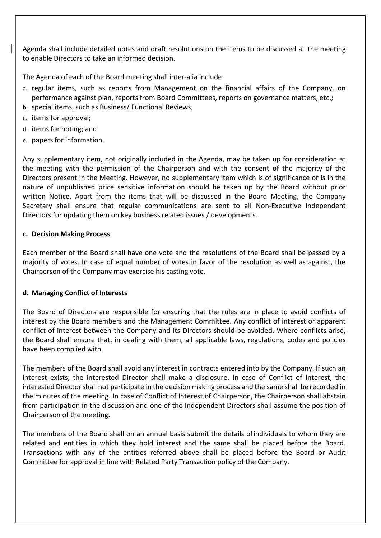Agenda shall include detailed notes and draft resolutions on the items to be discussed at the meeting to enable Directors to take an informed decision.

The Agenda of each of the Board meeting shall inter-alia include:

- a. regular items, such as reports from Management on the financial affairs of the Company, on performance against plan, reports from Board Committees, reports on governance matters, etc.;
- b. special items, such as Business/ Functional Reviews;
- c. items for approval;
- d. items for noting; and
- e. papers for information.

Any supplementary item, not originally included in the Agenda, may be taken up for consideration at the meeting with the permission of the Chairperson and with the consent of the majority of the Directors present in the Meeting. However, no supplementary item which is of significance or is in the nature of unpublished price sensitive information should be taken up by the Board without prior written Notice. Apart from the items that will be discussed in the Board Meeting, the Company Secretary shall ensure that regular communications are sent to all Non-Executive Independent Directors for updating them on key business related issues / developments.

## c. Decision Making Process

Each member of the Board shall have one vote and the resolutions of the Board shall be passed by a majority of votes. In case of equal number of votes in favor of the resolution as well as against, the Chairperson of the Company may exercise his casting vote.

## d. Managing Conflict of Interests

The Board of Directors are responsible for ensuring that the rules are in place to avoid conflicts of interest by the Board members and the Management Committee. Any conflict of interest or apparent conflict of interest between the Company and its Directors should be avoided. Where conflicts arise, the Board shall ensure that, in dealing with them, all applicable laws, regulations, codes and policies have been complied with.

The members of the Board shall avoid any interest in contracts entered into by the Company. If such an interest exists, the interested Director shall make a disclosure. In case of Conflict of Interest, the interested Director shall not participate in the decision making process and the same shall be recorded in the minutes of the meeting. In case of Conflict of Interest of Chairperson, the Chairperson shall abstain from participation in the discussion and one of the Independent Directors shall assume the position of Chairperson of the meeting.

The members of the Board shall on an annual basis submit the details of individuals to whom they are related and entities in which they hold interest and the same shall be placed before the Board. Transactions with any of the entities referred above shall be placed before the Board or Audit Committee for approval in line with Related Party Transaction policy of the Company.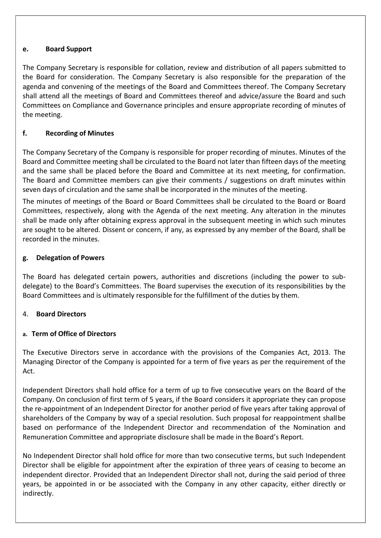#### e. Board Support

The Company Secretary is responsible for collation, review and distribution of all papers submitted to the Board for consideration. The Company Secretary is also responsible for the preparation of the agenda and convening of the meetings of the Board and Committees thereof. The Company Secretary shall attend all the meetings of Board and Committees thereof and advice/assure the Board and such Committees on Compliance and Governance principles and ensure appropriate recording of minutes of the meeting.

## f. Recording of Minutes

The Company Secretary of the Company is responsible for proper recording of minutes. Minutes of the Board and Committee meeting shall be circulated to the Board not later than fifteen days of the meeting and the same shall be placed before the Board and Committee at its next meeting, for confirmation. The Board and Committee members can give their comments / suggestions on draft minutes within seven days of circulation and the same shall be incorporated in the minutes of the meeting.

The minutes of meetings of the Board or Board Committees shall be circulated to the Board or Board Committees, respectively, along with the Agenda of the next meeting. Any alteration in the minutes shall be made only after obtaining express approval in the subsequent meeting in which such minutes are sought to be altered. Dissent or concern, if any, as expressed by any member of the Board, shall be recorded in the minutes.

## g. Delegation of Powers

The Board has delegated certain powers, authorities and discretions (including the power to subdelegate) to the Board's Committees. The Board supervises the execution of its responsibilities by the Board Committees and is ultimately responsible for the fulfillment of the duties by them.

## 4. Board Directors

## a. Term of Office of Directors

The Executive Directors serve in accordance with the provisions of the Companies Act, 2013. The Managing Director of the Company is appointed for a term of five years as per the requirement of the Act.

Independent Directors shall hold office for a term of up to five consecutive years on the Board of the Company. On conclusion of first term of 5 years, if the Board considers it appropriate they can propose the re-appointment of an Independent Director for another period of five years after taking approval of shareholders of the Company by way of a special resolution. Such proposal for reappointment shall be based on performance of the Independent Director and recommendation of the Nomination and Remuneration Committee and appropriate disclosure shall be made in the Board's Report.

No Independent Director shall hold office for more than two consecutive terms, but such Independent Director shall be eligible for appointment after the expiration of three years of ceasing to become an independent director. Provided that an Independent Director shall not, during the said period of three years, be appointed in or be associated with the Company in any other capacity, either directly or indirectly.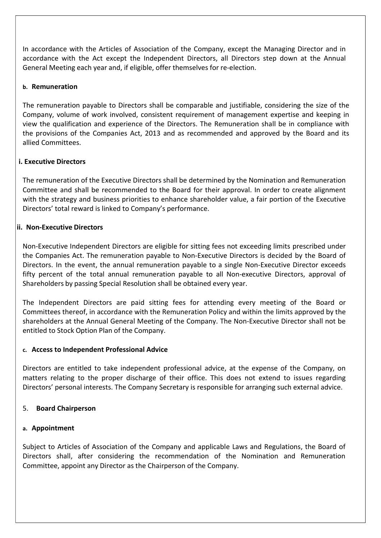In accordance with the Articles of Association of the Company, except the Managing Director and in accordance with the Act except the Independent Directors, all Directors step down at the Annual General Meeting each year and, if eligible, offer themselves for re-election.

#### b. Remuneration

The remuneration payable to Directors shall be comparable and justifiable, considering the size of the Company, volume of work involved, consistent requirement of management expertise and keeping in view the qualification and experience of the Directors. The Remuneration shall be in compliance with the provisions of the Companies Act, 2013 and as recommended and approved by the Board and its allied Committees.

## i. Executive Directors

The remuneration of the Executive Directors shall be determined by the Nomination and Remuneration Committee and shall be recommended to the Board for their approval. In order to create alignment with the strategy and business priorities to enhance shareholder value, a fair portion of the Executive Directors' total reward is linked to Company's performance.

#### ii. Non-Executive Directors

Non-Executive Independent Directors are eligible for sitting fees not exceeding limits prescribed under the Companies Act. The remuneration payable to Non-Executive Directors is decided by the Board of Directors. In the event, the annual remuneration payable to a single Non-Executive Director exceeds fifty percent of the total annual remuneration payable to all Non-executive Directors, approval of Shareholders by passing Special Resolution shall be obtained every year.

The Independent Directors are paid sitting fees for attending every meeting of the Board or Committees thereof, in accordance with the Remuneration Policy and within the limits approved by the shareholders at the Annual General Meeting of the Company. The Non-Executive Director shall not be entitled to Stock Option Plan of the Company.

#### c. Access to Independent Professional Advice

Directors are entitled to take independent professional advice, at the expense of the Company, on matters relating to the proper discharge of their office. This does not extend to issues regarding Directors' personal interests. The Company Secretary is responsible for arranging such external advice.

#### 5. Board Chairperson

#### a. Appointment

Subject to Articles of Association of the Company and applicable Laws and Regulations, the Board of Directors shall, after considering the recommendation of the Nomination and Remuneration Committee, appoint any Director as the Chairperson of the Company.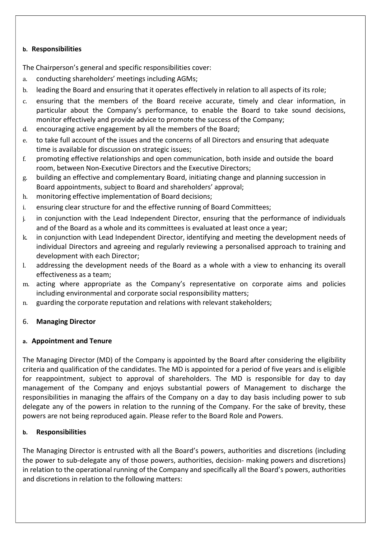#### b. Responsibilities

The Chairperson's general and specific responsibilities cover:

- a. conducting shareholders' meetings including AGMs;
- b. leading the Board and ensuring that it operates effectively in relation to all aspects of its role;
- c. ensuring that the members of the Board receive accurate, timely and clear information, in particular about the Company's performance, to enable the Board to take sound decisions, monitor effectively and provide advice to promote the success of the Company;
- d. encouraging active engagement by all the members of the Board;
- e. to take full account of the issues and the concerns of all Directors and ensuring that adequate time is available for discussion on strategic issues;
- f. promoting effective relationships and open communication, both inside and outside the board room, between Non-Executive Directors and the Executive Directors;
- g. building an effective and complementary Board, initiating change and planning succession in Board appointments, subject to Board and shareholders' approval;
- h. monitoring effective implementation of Board decisions;
- i. ensuring clear structure for and the effective running of Board Committees;
- j. in conjunction with the Lead Independent Director, ensuring that the performance of individuals and of the Board as a whole and its committees is evaluated at least once a year;
- k. in conjunction with Lead Independent Director, identifying and meeting the development needs of individual Directors and agreeing and regularly reviewing a personalised approach to training and development with each Director;
- l. addressing the development needs of the Board as a whole with a view to enhancing its overall effectiveness as a team;
- m. acting where appropriate as the Company's representative on corporate aims and policies including environmental and corporate social responsibility matters;
- n. guarding the corporate reputation and relations with relevant stakeholders;

## 6. Managing Director

#### a. Appointment and Tenure

The Managing Director (MD) of the Company is appointed by the Board after considering the eligibility criteria and qualification of the candidates. The MD is appointed for a period of five years and is eligible for reappointment, subject to approval of shareholders. The MD is responsible for day to day management of the Company and enjoys substantial powers of Management to discharge the responsibilities in managing the affairs of the Company on a day to day basis including power to sub delegate any of the powers in relation to the running of the Company. For the sake of brevity, these powers are not being reproduced again. Please refer to the Board Role and Powers.

#### b. Responsibilities

The Managing Director is entrusted with all the Board's powers, authorities and discretions (including the power to sub-delegate any of those powers, authorities, decision- making powers and discretions) in relation to the operational running of the Company and specifically all the Board's powers, authorities and discretions in relation to the following matters: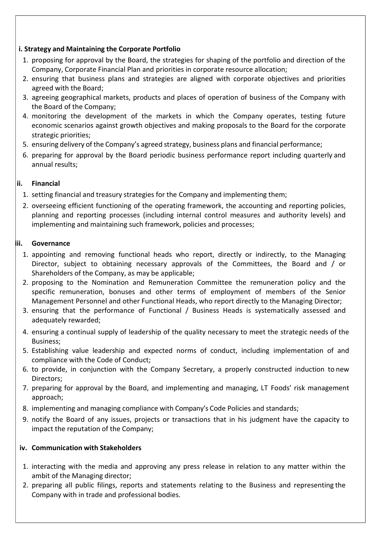## i. Strategy and Maintaining the Corporate Portfolio

- 1. proposing for approval by the Board, the strategies for shaping of the portfolio and direction of the Company, Corporate Financial Plan and priorities in corporate resource allocation;
- 2. ensuring that business plans and strategies are aligned with corporate objectives and priorities agreed with the Board;
- 3. agreeing geographical markets, products and places of operation of business of the Company with the Board of the Company;
- 4. monitoring the development of the markets in which the Company operates, testing future economic scenarios against growth objectives and making proposals to the Board for the corporate strategic priorities;
- 5. ensuring delivery of the Company's agreed strategy, business plans and financial performance;
- 6. preparing for approval by the Board periodic business performance report including quarterly and annual results;

## ii. Financial

- 1. setting financial and treasury strategies for the Company and implementing them;
- 2. overseeing efficient functioning of the operating framework, the accounting and reporting policies, planning and reporting processes (including internal control measures and authority levels) and implementing and maintaining such framework, policies and processes;

## iii. Governance

- 1. appointing and removing functional heads who report, directly or indirectly, to the Managing Director, subject to obtaining necessary approvals of the Committees, the Board and / or Shareholders of the Company, as may be applicable;
- 2. proposing to the Nomination and Remuneration Committee the remuneration policy and the specific remuneration, bonuses and other terms of employment of members of the Senior Management Personnel and other Functional Heads, who report directly to the Managing Director;
- 3. ensuring that the performance of Functional / Business Heads is systematically assessed and adequately rewarded;
- 4. ensuring a continual supply of leadership of the quality necessary to meet the strategic needs of the Business;
- 5. Establishing value leadership and expected norms of conduct, including implementation of and compliance with the Code of Conduct;
- 6. to provide, in conjunction with the Company Secretary, a properly constructed induction to new Directors;
- 7. preparing for approval by the Board, and implementing and managing, LT Foods' risk management approach;
- 8. implementing and managing compliance with Company's Code Policies and standards;
- 9. notify the Board of any issues, projects or transactions that in his judgment have the capacity to impact the reputation of the Company;

## iv. Communication with Stakeholders

- 1. interacting with the media and approving any press release in relation to any matter within the ambit of the Managing director;
- 2. preparing all public filings, reports and statements relating to the Business and representing the Company with in trade and professional bodies.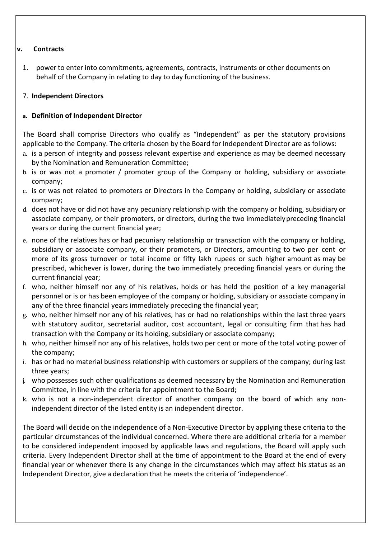#### v. Contracts

1. power to enter into commitments, agreements, contracts, instruments or other documents on behalf of the Company in relating to day to day functioning of the business.

## 7. Independent Directors

## a. Definition of Independent Director

The Board shall comprise Directors who qualify as "Independent" as per the statutory provisions applicable to the Company. The criteria chosen by the Board for Independent Director are as follows:

- a. is a person of integrity and possess relevant expertise and experience as may be deemed necessary by the Nomination and Remuneration Committee;
- b. is or was not a promoter / promoter group of the Company or holding, subsidiary or associate company;
- c. is or was not related to promoters or Directors in the Company or holding, subsidiary or associate company;
- d. does not have or did not have any pecuniary relationship with the company or holding, subsidiary or associate company, or their promoters, or directors, during the two immediately preceding financial years or during the current financial year;
- e. none of the relatives has or had pecuniary relationship or transaction with the company or holding, subsidiary or associate company, or their promoters, or Directors, amounting to two per cent or more of its gross turnover or total income or fifty lakh rupees or such higher amount as may be prescribed, whichever is lower, during the two immediately preceding financial years or during the current financial year;
- f. who, neither himself nor any of his relatives, holds or has held the position of a key managerial personnel or is or has been employee of the company or holding, subsidiary or associate company in any of the three financial years immediately preceding the financial year;
- g. who, neither himself nor any of his relatives, has or had no relationships within the last three years with statutory auditor, secretarial auditor, cost accountant, legal or consulting firm that has had transaction with the Company or its holding, subsidiary or associate company;
- h. who, neither himself nor any of his relatives, holds two per cent or more of the total voting power of the company;
- i. has or had no material business relationship with customers or suppliers of the company; during last three years;
- j. who possesses such other qualifications as deemed necessary by the Nomination and Remuneration Committee, in line with the criteria for appointment to the Board;
- k. who is not a non-independent director of another company on the board of which any nonindependent director of the listed entity is an independent director.

The Board will decide on the independence of a Non-Executive Director by applying these criteria to the particular circumstances of the individual concerned. Where there are additional criteria for a member to be considered independent imposed by applicable laws and regulations, the Board will apply such criteria. Every Independent Director shall at the time of appointment to the Board at the end of every financial year or whenever there is any change in the circumstances which may affect his status as an Independent Director, give a declaration that he meets the criteria of 'independence'.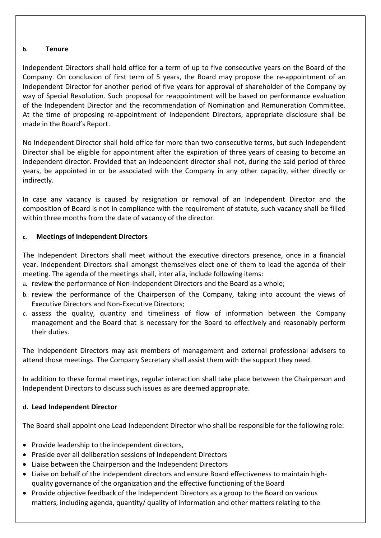#### b. Tenure

Independent Directors shall hold office for a term of up to five consecutive years on the Board of the Company. On conclusion of first term of 5 years, the Board may propose the re-appointment of an Independent Director for another period of five years for approval of shareholder of the Company by way of Special Resolution. Such proposal for reappointment will be based on performance evaluation of the Independent Director and the recommendation of Nomination and Remuneration Committee. At the time of proposing re-appointment of Independent Directors, appropriate disclosure shall be made in the Board's Report.

No Independent Director shall hold office for more than two consecutive terms, but such Independent Director shall be eligible for appointment after the expiration of three years of ceasing to become an independent director. Provided that an independent director shall not, during the said period of three years, be appointed in or be associated with the Company in any other capacity, either directly or indirectly.

In case any vacancy is caused by resignation or removal of an Independent Director and the composition of Board is not in compliance with the requirement of statute, such vacancy shall be filled within three months from the date of vacancy of the director.

## c. Meetings of Independent Directors

The Independent Directors shall meet without the executive directors presence, once in a financial year. Independent Directors shall amongst themselves elect one of them to lead the agenda of their meeting. The agenda of the meetings shall, inter alia, include following items:

- a. review the performance of Non-Independent Directors and the Board as a whole;
- b. review the performance of the Chairperson of the Company, taking into account the views of Executive Directors and Non-Executive Directors;
- c. assess the quality, quantity and timeliness of flow of information between the Company management and the Board that is necessary for the Board to effectively and reasonably perform their duties.

The Independent Directors may ask members of management and external professional advisers to attend those meetings. The Company Secretary shall assist them with the support they need.

In addition to these formal meetings, regular interaction shall take place between the Chairperson and Independent Directors to discuss such issues as are deemed appropriate.

## d. Lead Independent Director

The Board shall appoint one Lead Independent Director who shall be responsible for the following role:

- Provide leadership to the independent directors,
- Preside over all deliberation sessions of Independent Directors
- Liaise between the Chairperson and the Independent Directors
- Liaise on behalf of the independent directors and ensure Board effectiveness to maintain highquality governance of the organization and the effective functioning of the Board
- Provide objective feedback of the Independent Directors as a group to the Board on various matters, including agenda, quantity/ quality of information and other matters relating to the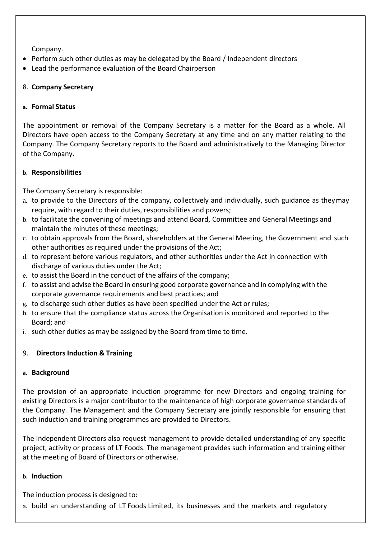Company.

- Perform such other duties as may be delegated by the Board / Independent directors
- Lead the performance evaluation of the Board Chairperson

## 8. Company Secretary

## a. Formal Status

The appointment or removal of the Company Secretary is a matter for the Board as a whole. All Directors have open access to the Company Secretary at any time and on any matter relating to the Company. The Company Secretary reports to the Board and administratively to the Managing Director of the Company.

#### b. Responsibilities

The Company Secretary is responsible:

- a. to provide to the Directors of the company, collectively and individually, such guidance as they may require, with regard to their duties, responsibilities and powers;
- b. to facilitate the convening of meetings and attend Board, Committee and General Meetings and maintain the minutes of these meetings;
- c. to obtain approvals from the Board, shareholders at the General Meeting, the Government and such other authorities as required under the provisions of the Act;
- d. to represent before various regulators, and other authorities under the Act in connection with discharge of various duties under the Act;
- e. to assist the Board in the conduct of the affairs of the company;
- f. to assist and advise the Board in ensuring good corporate governance and in complying with the corporate governance requirements and best practices; and
- g. to discharge such other duties as have been specified under the Act or rules;
- h. to ensure that the compliance status across the Organisation is monitored and reported to the Board; and
- i. such other duties as may be assigned by the Board from time to time.

## 9. Directors Induction & Training

## a. Background

The provision of an appropriate induction programme for new Directors and ongoing training for existing Directors is a major contributor to the maintenance of high corporate governance standards of the Company. The Management and the Company Secretary are jointly responsible for ensuring that such induction and training programmes are provided to Directors.

The Independent Directors also request management to provide detailed understanding of any specific project, activity or process of LT Foods. The management provides such information and training either at the meeting of Board of Directors or otherwise.

#### b. Induction

The induction process is designed to:

a. build an understanding of LT Foods Limited, its businesses and the markets and regulatory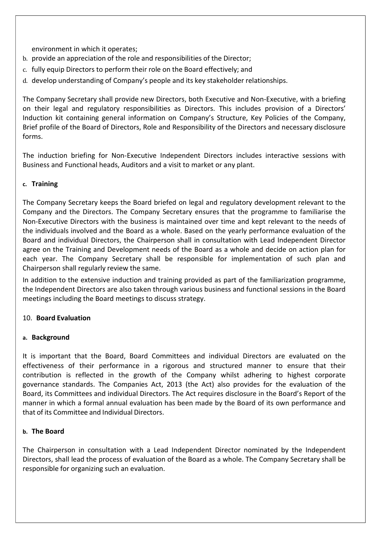environment in which it operates;

- b. provide an appreciation of the role and responsibilities of the Director;
- c. fully equip Directors to perform their role on the Board effectively; and
- d. develop understanding of Company's people and its key stakeholder relationships.

The Company Secretary shall provide new Directors, both Executive and Non-Executive, with a briefing on their legal and regulatory responsibilities as Directors. This includes provision of a Directors' Induction kit containing general information on Company's Structure, Key Policies of the Company, Brief profile of the Board of Directors, Role and Responsibility of the Directors and necessary disclosure forms.

The induction briefing for Non-Executive Independent Directors includes interactive sessions with Business and Functional heads, Auditors and a visit to market or any plant.

#### c. Training

The Company Secretary keeps the Board briefed on legal and regulatory development relevant to the Company and the Directors. The Company Secretary ensures that the programme to familiarise the Non-Executive Directors with the business is maintained over time and kept relevant to the needs of the individuals involved and the Board as a whole. Based on the yearly performance evaluation of the Board and individual Directors, the Chairperson shall in consultation with Lead Independent Director agree on the Training and Development needs of the Board as a whole and decide on action plan for each year. The Company Secretary shall be responsible for implementation of such plan and Chairperson shall regularly review the same.

In addition to the extensive induction and training provided as part of the familiarization programme, the Independent Directors are also taken through various business and functional sessions in the Board meetings including the Board meetings to discuss strategy.

#### 10. Board Evaluation

#### a. Background

It is important that the Board, Board Committees and individual Directors are evaluated on the effectiveness of their performance in a rigorous and structured manner to ensure that their contribution is reflected in the growth of the Company whilst adhering to highest corporate governance standards. The Companies Act, 2013 (the Act) also provides for the evaluation of the Board, its Committees and individual Directors. The Act requires disclosure in the Board's Report of the manner in which a formal annual evaluation has been made by the Board of its own performance and that of its Committee and Individual Directors.

#### b. The Board

The Chairperson in consultation with a Lead Independent Director nominated by the Independent Directors, shall lead the process of evaluation of the Board as a whole. The Company Secretary shall be responsible for organizing such an evaluation.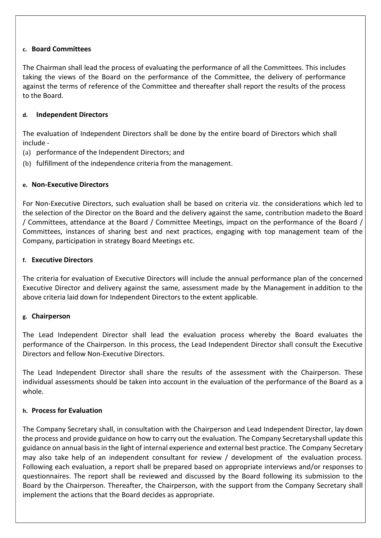#### c. Board Committees

The Chairman shall lead the process of evaluating the performance of all the Committees. This includes taking the views of the Board on the performance of the Committee, the delivery of performance against the terms of reference of the Committee and thereafter shall report the results of the process to the Board.

#### d. Independent Directors

The evaluation of Independent Directors shall be done by the entire board of Directors which shall include -

- (a) performance of the Independent Directors; and
- (b) fulfillment of the independence criteria from the management.

#### e. Non-Executive Directors

For Non-Executive Directors, such evaluation shall be based on criteria viz. the considerations which led to the selection of the Director on the Board and the delivery against the same, contribution made to the Board / Committees, attendance at the Board / Committee Meetings, impact on the performance of the Board / Committees, instances of sharing best and next practices, engaging with top management team of the Company, participation in strategy Board Meetings etc.

#### f. Executive Directors

The criteria for evaluation of Executive Directors will include the annual performance plan of the concerned Executive Director and delivery against the same, assessment made by the Management in addition to the above criteria laid down for Independent Directors to the extent applicable.

#### g. Chairperson

The Lead Independent Director shall lead the evaluation process whereby the Board evaluates the performance of the Chairperson. In this process, the Lead Independent Director shall consult the Executive Directors and fellow Non-Executive Directors.

The Lead Independent Director shall share the results of the assessment with the Chairperson. These individual assessments should be taken into account in the evaluation of the performance of the Board as a whole.

#### h. Process for Evaluation

The Company Secretary shall, in consultation with the Chairperson and Lead Independent Director, lay down the process and provide guidance on how to carry out the evaluation. The Company Secretary shall update this guidance on annual basis in the light of internal experience and external best practice. The Company Secretary may also take help of an independent consultant for review / development of the evaluation process. Following each evaluation, a report shall be prepared based on appropriate interviews and/or responses to questionnaires. The report shall be reviewed and discussed by the Board following its submission to the Board by the Chairperson. Thereafter, the Chairperson, with the support from the Company Secretary shall implement the actions that the Board decides as appropriate.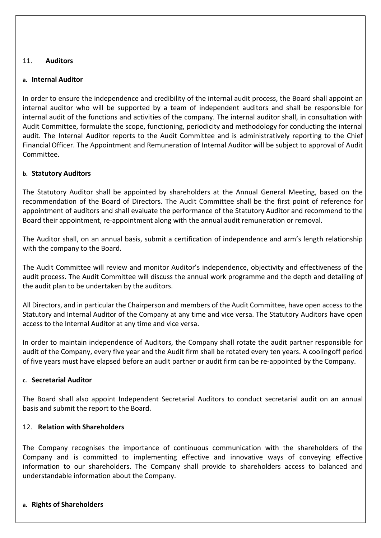#### 11. Auditors

#### a. Internal Auditor

In order to ensure the independence and credibility of the internal audit process, the Board shall appoint an internal auditor who will be supported by a team of independent auditors and shall be responsible for internal audit of the functions and activities of the company. The internal auditor shall, in consultation with Audit Committee, formulate the scope, functioning, periodicity and methodology for conducting the internal audit. The Internal Auditor reports to the Audit Committee and is administratively reporting to the Chief Financial Officer. The Appointment and Remuneration of Internal Auditor will be subject to approval of Audit Committee.

#### b. Statutory Auditors

The Statutory Auditor shall be appointed by shareholders at the Annual General Meeting, based on the recommendation of the Board of Directors. The Audit Committee shall be the first point of reference for appointment of auditors and shall evaluate the performance of the Statutory Auditor and recommend to the Board their appointment, re-appointment along with the annual audit remuneration or removal.

The Auditor shall, on an annual basis, submit a certification of independence and arm's length relationship with the company to the Board.

The Audit Committee will review and monitor Auditor's independence, objectivity and effectiveness of the audit process. The Audit Committee will discuss the annual work programme and the depth and detailing of the audit plan to be undertaken by the auditors.

All Directors, and in particular the Chairperson and members of the Audit Committee, have open access to the Statutory and Internal Auditor of the Company at any time and vice versa. The Statutory Auditors have open access to the Internal Auditor at any time and vice versa.

In order to maintain independence of Auditors, the Company shall rotate the audit partner responsible for audit of the Company, every five year and the Audit firm shall be rotated every ten years. A cooling off period of five years must have elapsed before an audit partner or audit firm can be re-appointed by the Company.

#### c. Secretarial Auditor

The Board shall also appoint Independent Secretarial Auditors to conduct secretarial audit on an annual basis and submit the report to the Board.

#### 12. Relation with Shareholders

The Company recognises the importance of continuous communication with the shareholders of the Company and is committed to implementing effective and innovative ways of conveying effective information to our shareholders. The Company shall provide to shareholders access to balanced and understandable information about the Company.

#### a. Rights of Shareholders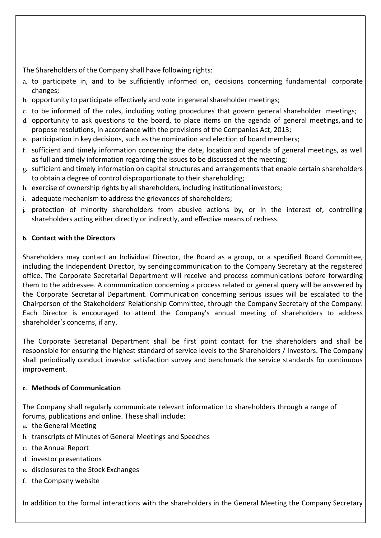The Shareholders of the Company shall have following rights:

- a. to participate in, and to be sufficiently informed on, decisions concerning fundamental corporate changes;
- b. opportunity to participate effectively and vote in general shareholder meetings;
- c. to be informed of the rules, including voting procedures that govern general shareholder meetings;
- d. opportunity to ask questions to the board, to place items on the agenda of general meetings, and to propose resolutions, in accordance with the provisions of the Companies Act, 2013;
- e. participation in key decisions, such as the nomination and election of board members;
- f. sufficient and timely information concerning the date, location and agenda of general meetings, as well as full and timely information regarding the issues to be discussed at the meeting;
- g. sufficient and timely information on capital structures and arrangements that enable certain shareholders to obtain a degree of control disproportionate to their shareholding;
- h. exercise of ownership rights by all shareholders, including institutional investors;
- i. adequate mechanism to address the grievances of shareholders;
- j. protection of minority shareholders from abusive actions by, or in the interest of, controlling shareholders acting either directly or indirectly, and effective means of redress.

#### b. Contact with the Directors

Shareholders may contact an Individual Director, the Board as a group, or a specified Board Committee, including the Independent Director, by sending communication to the Company Secretary at the registered office. The Corporate Secretarial Department will receive and process communications before forwarding them to the addressee. A communication concerning a process related or general query will be answered by the Corporate Secretarial Department. Communication concerning serious issues will be escalated to the Chairperson of the Stakeholders' Relationship Committee, through the Company Secretary of the Company. Each Director is encouraged to attend the Company's annual meeting of shareholders to address shareholder's concerns, if any.

The Corporate Secretarial Department shall be first point contact for the shareholders and shall be responsible for ensuring the highest standard of service levels to the Shareholders / Investors. The Company shall periodically conduct investor satisfaction survey and benchmark the service standards for continuous improvement.

## c. Methods of Communication

The Company shall regularly communicate relevant information to shareholders through a range of forums, publications and online. These shall include:

- a. the General Meeting
- b. transcripts of Minutes of General Meetings and Speeches
- c. the Annual Report
- d. investor presentations
- e. disclosures to the Stock Exchanges
- f. the Company website

In addition to the formal interactions with the shareholders in the General Meeting the Company Secretary